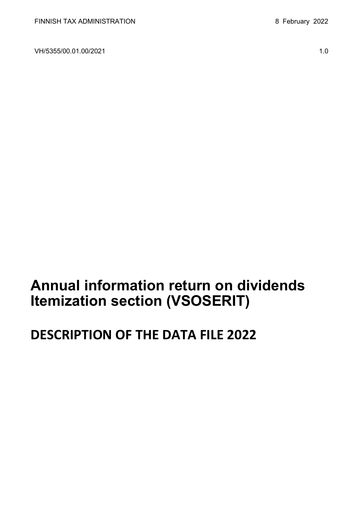VH/5355/00.01.00/2021 1.0

**Annual information return on dividends Itemization section (VSOSERIT)**

# **DESCRIPTION OF THE DATA FILE 2022**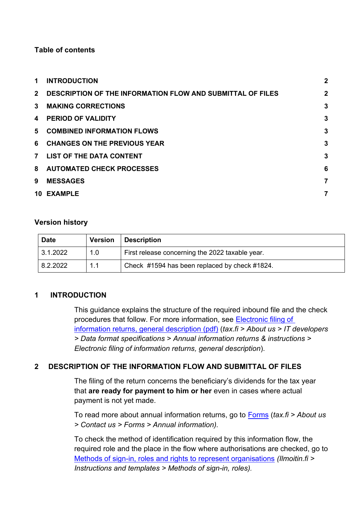# **Table of contents**

| 1.             | <b>INTRODUCTION</b>                                               | $\overline{2}$ |
|----------------|-------------------------------------------------------------------|----------------|
| $2^{\circ}$    | <b>DESCRIPTION OF THE INFORMATION FLOW AND SUBMITTAL OF FILES</b> | $\mathbf{2}$   |
| $\mathbf{3}$   | <b>MAKING CORRECTIONS</b>                                         | 3              |
| 4              | <b>PERIOD OF VALIDITY</b>                                         | 3              |
| 5.             | <b>COMBINED INFORMATION FLOWS</b>                                 | 3              |
| 6              | <b>CHANGES ON THE PREVIOUS YEAR</b>                               | 3              |
| $\overline{7}$ | LIST OF THE DATA CONTENT                                          | 3              |
|                | 8 AUTOMATED CHECK PROCESSES                                       | 6              |
| 9              | <b>MESSAGES</b>                                                   | 7              |
|                | 10 EXAMPLE                                                        | 7              |

# **Version history**

| <b>Date</b> | <b>Version</b> | <b>Description</b>                              |
|-------------|----------------|-------------------------------------------------|
| 3.1.2022    | 1.0            | First release concerning the 2022 taxable year. |
| 8.2.2022    | 1.1            | Check #1594 has been replaced by check #1824.   |

# <span id="page-1-0"></span>**1 INTRODUCTION**

This guidance explains the structure of the required inbound file and the check procedures that follow. For more information, see [Electronic filing of](https://www.vero.fi/globalassets/tietoa-verohallinnosta/ohjelmistokehittajille/finnish-tax-administration_electronic-filing-of-information-returns-general-description.pdf)  [information returns, general description \(pdf\)](https://www.vero.fi/globalassets/tietoa-verohallinnosta/ohjelmistokehittajille/finnish-tax-administration_electronic-filing-of-information-returns-general-description.pdf) (*tax.fi > About us > IT developers > Data format specifications > Annual information returns & instructions > Electronic filing of information returns, general description*).

# <span id="page-1-1"></span>**2 DESCRIPTION OF THE INFORMATION FLOW AND SUBMITTAL OF FILES**

The filing of the return concerns the beneficiary's dividends for the tax year that **are ready for payment to him or her** even in cases where actual payment is not yet made.

To read more about annual information returns, go to [Forms](https://www.vero.fi/en/About-us/contact-us/forms/) (*tax.fi > About us > Contact us > Forms > Annual information).*

To check the method of identification required by this information flow, the required role and the place in the flow where authorisations are checked, go to [Methods of sign-in, roles and rights to represent organisations](https://www.ilmoitin.fi/webtamo/sivut/IlmoituslajiRoolit?kieli=en&tv=VSOSERIT) *[\(Ilmoitin.fi >](https://www.ilmoitin.fi/webtamo/sivut/IlmoituslajiRoolit?tv=VSY02C)  [Instructions and templates > Methods of sign-in, roles\)](https://www.ilmoitin.fi/webtamo/sivut/IlmoituslajiRoolit?tv=VSY02C).*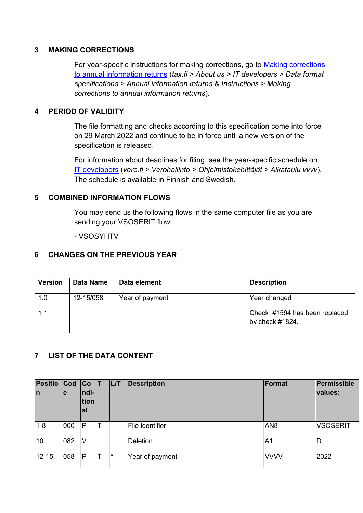# <span id="page-2-0"></span>**3 MAKING CORRECTIONS**

For year-specific instructions for making corrections, go to [Making corrections](https://www.vero.fi/en/About-us/it_developer/data-format-specifications/annual_information_returns__instruction/making-corrections-to-annual-information-returns/)  [to annual information returns](https://www.vero.fi/en/About-us/it_developer/data-format-specifications/annual_information_returns__instruction/making-corrections-to-annual-information-returns/) (*tax.fi > About us > IT developers > Data format specifications > Annual information returns & Instructions > Making corrections to annual information returns*).

#### <span id="page-2-1"></span>**4 PERIOD OF VALIDITY**

The file formatting and checks according to this specification come into force on 29 March 2022 and continue to be in force until a new version of the specification is released.

For information about deadlines for filing, see the year-specific schedule on [IT developers](https://www.vero.fi/tietoa-verohallinnosta/kehittaja/aikataulu-2021/) (*vero.fi > Verohallinto > Ohjelmistokehittäjät > Aikataulu vvvv*). The schedule is available in Finnish and Swedish.

#### <span id="page-2-2"></span>**5 COMBINED INFORMATION FLOWS**

You may send us the following flows in the same computer file as you are sending your VSOSERIT flow:

- VSOSYHTV

### <span id="page-2-3"></span>**6 CHANGES ON THE PREVIOUS YEAR**

| <b>Version</b> | <b>Data Name</b> | Data element    | <b>Description</b>                                   |
|----------------|------------------|-----------------|------------------------------------------------------|
| 1.0            | 12-15/058        | Year of payment | Year changed                                         |
| 1.1            |                  |                 | Check #1594 has been replaced<br>by check $\#1824$ . |

# <span id="page-2-4"></span>**7 LIST OF THE DATA CONTENT**

| Positio Cod<br>In | le  | Co T<br>ndi-<br>tion<br>al | <b>IL/T</b> | <b>Description</b> | Format          | Permissible<br>values: |
|-------------------|-----|----------------------------|-------------|--------------------|-----------------|------------------------|
| $1 - 8$           | 000 | P                          |             | File identifier    | AN <sub>8</sub> | <b>VSOSERIT</b>        |
| 10                | 082 | V                          |             | Deletion           | A <sub>1</sub>  | D                      |
| $12 - 15$         | 058 | P                          | $\star$     | Year of payment    | <b>VVVV</b>     | 2022                   |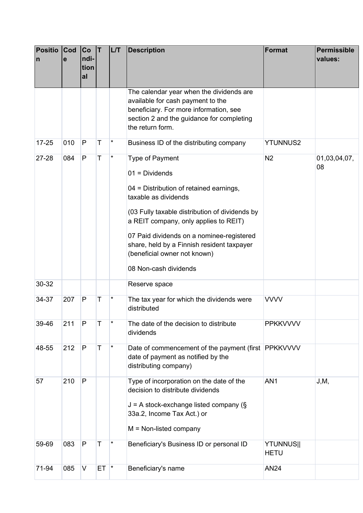| <b>Positio</b><br>$\mathsf{n}$ | <b>Cod</b><br>e | Co<br>ndi-<br>tion<br>al | ΙT       | LT       | <b>Description</b>                                                                                                                                                                                                                                                                                                                                           | Format                          | <b>Permissible</b><br>values: |
|--------------------------------|-----------------|--------------------------|----------|----------|--------------------------------------------------------------------------------------------------------------------------------------------------------------------------------------------------------------------------------------------------------------------------------------------------------------------------------------------------------------|---------------------------------|-------------------------------|
|                                |                 |                          |          |          | The calendar year when the dividends are<br>available for cash payment to the<br>beneficiary. For more information, see<br>section 2 and the guidance for completing<br>the return form.                                                                                                                                                                     |                                 |                               |
| $17 - 25$                      | 010             | $\mathsf{P}$             | Т        | $\star$  | Business ID of the distributing company                                                                                                                                                                                                                                                                                                                      | <b>YTUNNUS2</b>                 |                               |
| 27-28                          | 084             | $\mathsf{P}$             | Τ        | *        | <b>Type of Payment</b><br>$01 = Dividends$<br>04 = Distribution of retained earnings,<br>taxable as dividends<br>(03 Fully taxable distribution of dividends by<br>a REIT company, only applies to REIT)<br>07 Paid dividends on a nominee-registered<br>share, held by a Finnish resident taxpayer<br>(beneficial owner not known)<br>08 Non-cash dividends | N <sub>2</sub>                  | 01,03,04,07,<br>08            |
| 30-32                          |                 |                          |          |          | Reserve space                                                                                                                                                                                                                                                                                                                                                |                                 |                               |
| 34-37                          | 207             | $\mathsf{P}$             | Τ        | $^\star$ | The tax year for which the dividends were<br>distributed                                                                                                                                                                                                                                                                                                     | <b>VVVV</b>                     |                               |
| 39-46                          | 211             | P                        | Т        | *        | The date of the decision to distribute<br>dividends                                                                                                                                                                                                                                                                                                          | <b>PPKKVVVV</b>                 |                               |
| 48-55                          | 212             | $\mathsf{P}$             | Т        | $^\star$ | Date of commencement of the payment (first PPKKVVVV<br>date of payment as notified by the<br>distributing company)                                                                                                                                                                                                                                           |                                 |                               |
| 57                             | 210             | $\mathsf{P}$             |          |          | Type of incorporation on the date of the<br>decision to distribute dividends<br>$J = A$ stock-exchange listed company (§<br>33a.2, Income Tax Act.) or<br>$M = Non-listed company$                                                                                                                                                                           | AN <sub>1</sub>                 | J, M,                         |
| 59-69                          | 083             | $\mathsf{P}$             | Т        |          | Beneficiary's Business ID or personal ID                                                                                                                                                                                                                                                                                                                     | <b>YTUNNUS  </b><br><b>HETU</b> |                               |
| 71-94                          | 085             | $\vee$                   | $ET$ $*$ |          | Beneficiary's name                                                                                                                                                                                                                                                                                                                                           | <b>AN24</b>                     |                               |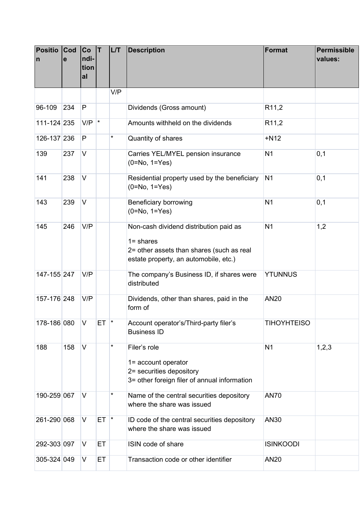| <b>Positio</b><br>$\mathsf{n}$ | Cod<br>е | Co <br>ndi-<br>tion<br>al | İΤ       | <b>L/T</b> | <b>Description</b>                                                                                                                           | Format             | Permissible<br>values: |
|--------------------------------|----------|---------------------------|----------|------------|----------------------------------------------------------------------------------------------------------------------------------------------|--------------------|------------------------|
|                                |          |                           |          | V/P        |                                                                                                                                              |                    |                        |
| 96-109                         | 234      | P                         |          |            | Dividends (Gross amount)                                                                                                                     | R <sub>11,2</sub>  |                        |
| 111-124 235                    |          | $V/P$ $*$                 |          |            | Amounts withheld on the dividends                                                                                                            | R <sub>11,2</sub>  |                        |
| 126-137 236                    |          | P                         |          | $\star$    | Quantity of shares                                                                                                                           | $+N12$             |                        |
| 139                            | 237      | $\vee$                    |          |            | Carries YEL/MYEL pension insurance<br>$(0=No, 1=Yes)$                                                                                        | N <sub>1</sub>     | 0,1                    |
| 141                            | 238      | $\vee$                    |          |            | Residential property used by the beneficiary<br>$(0=No, 1=Yes)$                                                                              | N <sub>1</sub>     | 0,1                    |
| 143                            | 239      | $\vee$                    |          |            | Beneficiary borrowing<br>$(0=No, 1=Yes)$                                                                                                     | N <sub>1</sub>     | 0,1                    |
| 145                            | 246      | V/P                       |          |            | Non-cash dividend distribution paid as<br>$1 =$ shares<br>2= other assets than shares (such as real<br>estate property, an automobile, etc.) | N <sub>1</sub>     | 1,2                    |
| 147-155 247                    |          | V/P                       |          |            | The company's Business ID, if shares were<br>distributed                                                                                     | <b>YTUNNUS</b>     |                        |
| 157-176 248                    |          | V/P                       |          |            | Dividends, other than shares, paid in the<br>form of                                                                                         | AN20               |                        |
| 178-186 080                    |          | V                         | $ET$ $*$ |            | Account operator's/Third-party filer's<br><b>Business ID</b>                                                                                 | <b>TIHOYHTEISO</b> |                        |
| 188                            | 158      | $\vee$                    |          | *          | Filer's role<br>1= account operator<br>2= securities depository<br>3= other foreign filer of annual information                              | N <sub>1</sub>     | 1,2,3                  |
| 190-259 067                    |          | V                         |          | *          | Name of the central securities depository<br>where the share was issued                                                                      | <b>AN70</b>        |                        |
| 261-290 068                    |          | $\vee$                    | $ET$ $*$ |            | ID code of the central securities depository<br>where the share was issued                                                                   | AN30               |                        |
| 292-303 097                    |          | V                         | ET       |            | ISIN code of share                                                                                                                           | <b>ISINKOODI</b>   |                        |
| 305-324 049                    |          | V                         | ET       |            | Transaction code or other identifier                                                                                                         | AN20               |                        |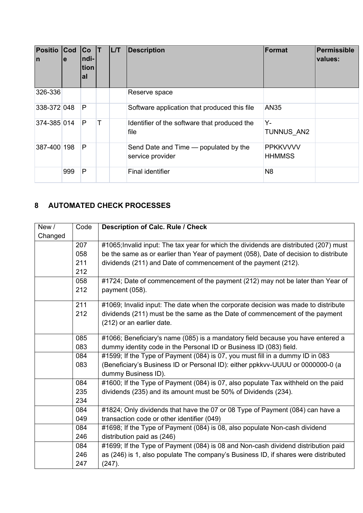| <b>Positio</b><br>$\mathsf{I}$ | $ $ Cod<br>le | Co<br>ndi-<br>tion<br>al | <b>L/T</b> | <b>Description</b>                                        | Format                           | Permissible<br>values: |
|--------------------------------|---------------|--------------------------|------------|-----------------------------------------------------------|----------------------------------|------------------------|
| 326-336                        |               |                          |            | Reserve space                                             |                                  |                        |
| 338-372 048                    |               | $\mathsf{P}$             |            | Software application that produced this file              | <b>AN35</b>                      |                        |
| 374-385 014                    |               | P                        |            | Identifier of the software that produced the<br>file      | Y-<br><b>TUNNUS AN2</b>          |                        |
| 387-400 198                    |               | $\mathsf{P}$             |            | Send Date and Time — populated by the<br>service provider | <b>PPKKVVVV</b><br><b>HHMMSS</b> |                        |
|                                | 999           | P                        |            | <b>Final identifier</b>                                   | N <sub>8</sub>                   |                        |

# <span id="page-5-0"></span>**8 AUTOMATED CHECK PROCESSES**

| New/    | Code | <b>Description of Calc. Rule / Check</b>                                              |
|---------|------|---------------------------------------------------------------------------------------|
| Changed |      |                                                                                       |
|         | 207  | #1065; Invalid input: The tax year for which the dividends are distributed (207) must |
|         | 058  | be the same as or earlier than Year of payment (058), Date of decision to distribute  |
|         | 211  | dividends (211) and Date of commencement of the payment (212).                        |
|         | 212  |                                                                                       |
|         | 058  | #1724; Date of commencement of the payment (212) may not be later than Year of        |
|         | 212  | payment (058).                                                                        |
|         | 211  | #1069; Invalid input: The date when the corporate decision was made to distribute     |
|         | 212  | dividends (211) must be the same as the Date of commencement of the payment           |
|         |      | (212) or an earlier date.                                                             |
|         | 085  | #1066; Beneficiary's name (085) is a mandatory field because you have entered a       |
|         | 083  | dummy identity code in the Personal ID or Business ID (083) field.                    |
|         | 084  | #1599; If the Type of Payment (084) is 07, you must fill in a dummy ID in 083         |
|         | 083  | (Beneficiary's Business ID or Personal ID): either ppkkvv-UUUU or 0000000-0 (a        |
|         |      | dummy Business ID).                                                                   |
|         | 084  | #1600; If the Type of Payment (084) is 07, also populate Tax withheld on the paid     |
|         | 235  | dividends (235) and its amount must be 50% of Dividends (234).                        |
|         | 234  |                                                                                       |
|         | 084  | #1824; Only dividends that have the 07 or 08 Type of Payment (084) can have a         |
|         | 049  | transaction code or other identifier (049)                                            |
|         | 084  | #1698; If the Type of Payment (084) is 08, also populate Non-cash dividend            |
|         | 246  | distribution paid as (246)                                                            |
|         | 084  | #1699; If the Type of Payment (084) is 08 and Non-cash dividend distribution paid     |
|         | 246  | as (246) is 1, also populate The company's Business ID, if shares were distributed    |
|         | 247  | (247).                                                                                |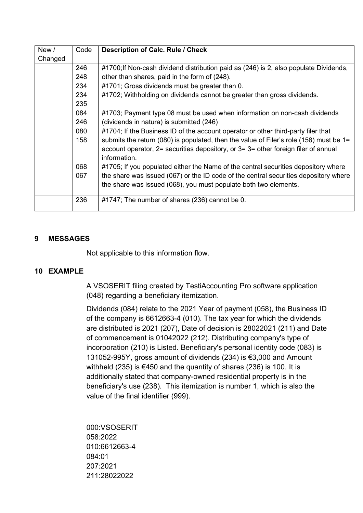| New /   | Code | <b>Description of Calc. Rule / Check</b>                                                    |
|---------|------|---------------------------------------------------------------------------------------------|
| Changed |      |                                                                                             |
|         | 246  | #1700; If Non-cash dividend distribution paid as (246) is 2, also populate Dividends,       |
|         | 248  | other than shares, paid in the form of (248).                                               |
|         | 234  | #1701; Gross dividends must be greater than 0.                                              |
|         | 234  | #1702; Withholding on dividends cannot be greater than gross dividends.                     |
|         | 235  |                                                                                             |
|         | 084  | #1703; Payment type 08 must be used when information on non-cash dividends                  |
|         | 246  | (dividends in natura) is submitted (246)                                                    |
|         | 080  | #1704; If the Business ID of the account operator or other third-party filer that           |
|         | 158  | submits the return (080) is populated, then the value of Filer's role (158) must be $1=$    |
|         |      | account operator, $2$ = securities depository, or $3$ = $3$ = other foreign filer of annual |
|         |      | information.                                                                                |
|         | 068  | #1705; If you populated either the Name of the central securities depository where          |
|         | 067  | the share was issued (067) or the ID code of the central securities depository where        |
|         |      | the share was issued (068), you must populate both two elements.                            |
|         | 236  | #1747; The number of shares (236) cannot be 0.                                              |

#### <span id="page-6-0"></span>**9 MESSAGES**

Not applicable to this information flow.

# <span id="page-6-1"></span>**10 EXAMPLE**

A VSOSERIT filing created by TestiAccounting Pro software application (048) regarding a beneficiary itemization.

Dividends (084) relate to the 2021 Year of payment (058), the Business ID of the company is 6612663-4 (010). The tax year for which the dividends are distributed is 2021 (207), Date of decision is 28022021 (211) and Date of commencement is 01042022 (212). Distributing company's type of incorporation (210) is Listed. Beneficiary's personal identity code (083) is 131052-995Y, gross amount of dividends (234) is €3,000 and Amount withheld (235) is €450 and the quantity of shares (236) is 100. It is additionally stated that company-owned residential property is in the beneficiary's use (238). This itemization is number 1, which is also the value of the final identifier (999).

000:VSOSERIT 058:2022 010:6612663-4 084:01 207:2021 211:28022022